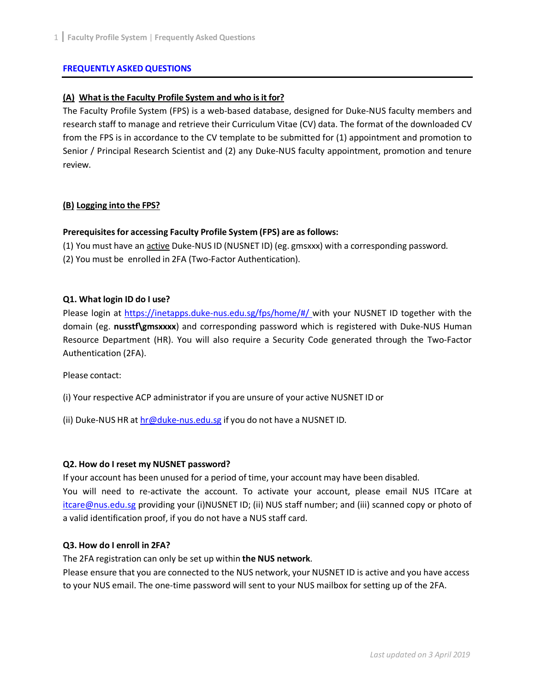#### **FREQUENTLY ASKED QUESTIONS**

### **(A) What is the Faculty Profile System and who isit for?**

The Faculty Profile System (FPS) is a web-based database, designed for Duke-NUS faculty members and research staff to manage and retrieve their Curriculum Vitae (CV) data. The format of the downloaded CV from the FPS is in accordance to the CV template to be submitted for (1) appointment and promotion to Senior / Principal Research Scientist and (2) any Duke-NUS faculty appointment, promotion and tenure review.

#### **(B) Logging into the FPS?**

#### **Prerequisitesfor accessing Faculty Profile System (FPS) are as follows:**

- (1) You must have an active Duke-NUS ID (NUSNET ID) (eg. gmsxxx) with a corresponding password.
- (2) You must be enrolled in 2FA (Two-Factor Authentication).

#### **Q1. What login ID do I use?**

Please login at [https://inetapps.duke-nus.edu.sg/fps/home/#/ w](https://inetapps.duke-nus.edu.sg/fps/home/%23/)ith your NUSNET ID together with the domain (eg. **nusstf\gmsxxxx**) and corresponding password which is registered with Duke-NUS Human Resource Department (HR). You will also require a Security Code generated through the Two-Factor Authentication (2FA).

Please contact:

- (i) Your respective ACP administrator if you are unsure of your active NUSNET ID or
- (ii) Duke-NUS HR at [hr@duke-nus.edu.sg](mailto:hr@duke-nus.edu.sg) if you do not have a NUSNET ID.

### **Q2. How do I reset my NUSNET password?**

If your account has been unused for a period of time, your account may have been disabled.

You will need to re-activate the account. To activate your account, please email NUS ITCare at [itcare@nus.edu.sg](mailto:itcare@nus.edu.sg) providing your (i)NUSNET ID; (ii) NUS staff number; and (iii) scanned copy or photo of a valid identification proof, if you do not have a NUS staff card.

### **Q3. How do I enroll in 2FA?**

The 2FA registration can only be set up within **the NUS network**.

Please ensure that you are connected to the NUS network, your NUSNET ID is active and you have access to your NUS email. The one-time password will sent to your NUS mailbox for setting up of the 2FA.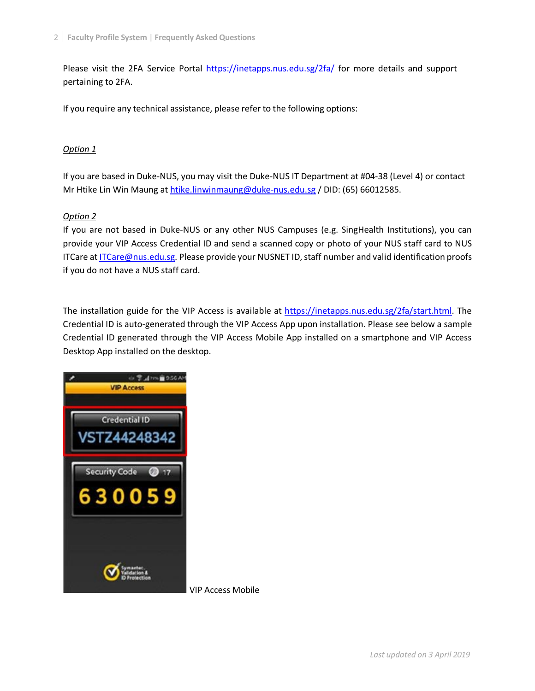Please visit the 2FA Service Portal <https://inetapps.nus.edu.sg/2fa/> for more details and support pertaining to 2FA.

If you require any technical assistance, please refer to the following options:

# *Option 1*

If you are based in Duke-NUS, you may visit the Duke-NUS IT Department at #04-38 (Level 4) or contact Mr Htike Lin Win Maung at [htike.linwinmaung@duke-nus.edu.sg](mailto:htike.linwinmaung@duke-nus.edu.sg) / DID: (65) 66012585.

# *Option 2*

If you are not based in Duke-NUS or any other NUS Campuses (e.g. SingHealth Institutions), you can provide your VIP Access Credential ID and send a scanned copy or photo of your NUS staff card to NUS ITCare at [ITCare@nus.edu.sg. P](mailto:ITCare@nus.edu.sg)lease provide your NUSNET ID, staff number and valid identification proofs if you do not have a NUS staff card.

The installation guide for the VIP Access is available at [https://inetapps.nus.edu.sg/2fa/start.html. T](https://inetapps.nus.edu.sg/2fa/start.html)he Credential ID is auto-generated through the VIP Access App upon installation. Please see below a sample Credential ID generated through the VIP Access Mobile App installed on a smartphone and VIP Access Desktop App installed on the desktop.



VIP Access Mobile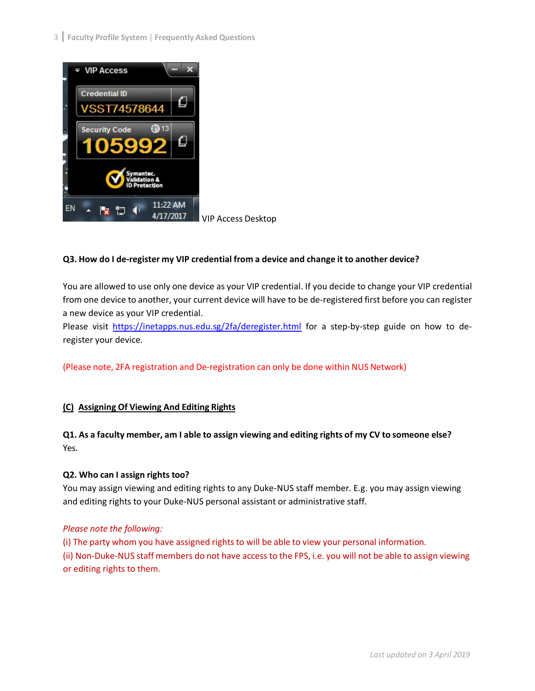

VIP Access Desktop

# **Q3. How do I de-register my VIP credential from a device and change it to another device?**

You are allowed to use only one device as your VIP credential. If you decide to change your VIP credential from one device to another, your current device will have to be de-registered first before you can register a new device as your VIP credential.

Please visit <https://inetapps.nus.edu.sg/2fa/deregister.html> for a step-by-step guide on how to deregister your device.

(Please note, 2FA registration and De-registration can only be done within NUS Network)

# **(C) Assigning Of Viewing And Editing Rights**

# **Q1. As a faculty member, am I able to assign viewing and editing rights of my CV to someone else?** Yes.

### **Q2. Who can I assign rights too?**

You may assign viewing and editing rights to any Duke-NUS staff member. E.g. you may assign viewing and editing rights to your Duke-NUS personal assistant or administrative staff.

### *Please note the following:*

(i) The party whom you have assigned rights to will be able to view your personal information. (ii) Non-Duke-NUS staff members do not have access to the FPS, i.e. you will not be able to assign viewing or editing rights to them.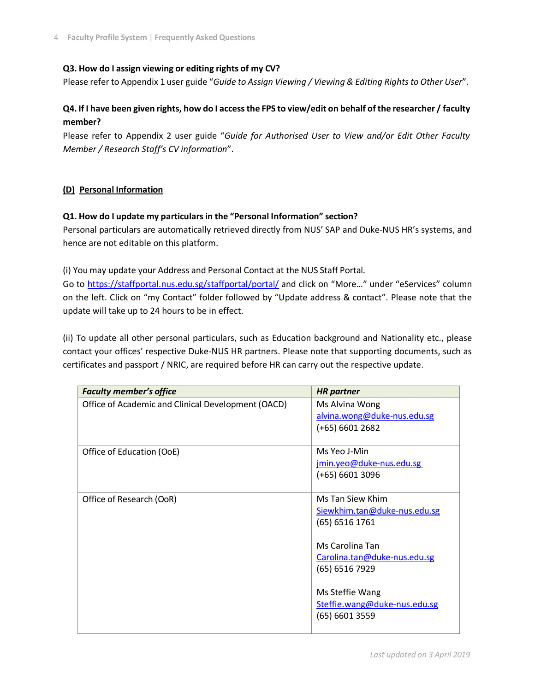### **Q3. How do I assign viewing or editing rights of my CV?**

Please refer to Appendix 1 user guide "*Guide to Assign Viewing / Viewing & Editing Rights to Other User*".

# **Q4. If I have been given rights, how do I accessthe FPS to view/edit on behalf of the researcher / faculty member?**

Please refer to Appendix 2 user guide "*Guide for Authorised User to View and/or Edit Other Faculty Member / Research Staff's CV information*".

# **(D) Personal Information**

### **Q1. How do I update my particularsin the "Personal Information" section?**

Personal particulars are automatically retrieved directly from NUS' SAP and Duke-NUS HR's systems, and hence are not editable on this platform.

(i) You may update your Address and Personal Contact at the NUS Staff Portal.

Go to<https://staffportal.nus.edu.sg/staffportal/portal/> and click on "More…" under "eServices" column on the left. Click on "my Contact" folder followed by "Update address & contact". Please note that the update will take up to 24 hours to be in effect.

(ii) To update all other personal particulars, such as Education background and Nationality etc., please contact your offices' respective Duke-NUS HR partners. Please note that supporting documents, such as certificates and passport / NRIC, are required before HR can carry out the respective update.

| <b>Faculty member's office</b>                     | <b>HR</b> partner                             |
|----------------------------------------------------|-----------------------------------------------|
| Office of Academic and Clinical Development (OACD) | Ms Alvina Wong<br>alvina.wong@duke-nus.edu.sg |
|                                                    | $(+65)$ 6601 2682                             |
| Office of Education (OoE)                          | Ms Yeo J-Min                                  |
|                                                    | jmin.yeo@duke-nus.edu.sg                      |
|                                                    | $(+65)$ 6601 3096                             |
| Office of Research (OoR)                           | Ms Tan Siew Khim                              |
|                                                    | Siewkhim.tan@duke-nus.edu.sg                  |
|                                                    | $(65)$ 6516 1761                              |
|                                                    | Ms Carolina Tan                               |
|                                                    | Carolina.tan@duke-nus.edu.sg                  |
|                                                    | (65) 6516 7929                                |
|                                                    | Ms Steffie Wang                               |
|                                                    | Steffie.wang@duke-nus.edu.sg                  |
|                                                    | $(65)$ 6601 3559                              |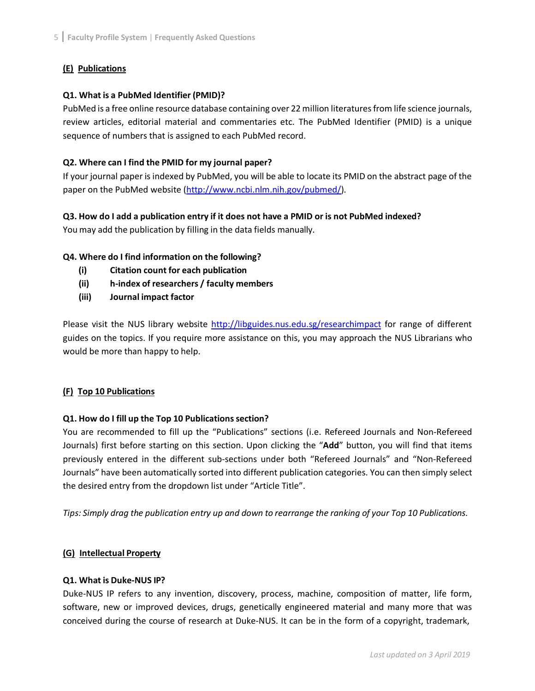# **(E) Publications**

# **Q1. What is a PubMed Identifier (PMID)?**

PubMed is a free online resource database containing over 22 million literatures from life science journals, review articles, editorial material and commentaries etc. The PubMed Identifier (PMID) is a unique sequence of numbers that is assigned to each PubMed record.

# **Q2. Where can I find the PMID for my journal paper?**

If your journal paper is indexed by PubMed, you will be able to locate its PMID on the abstract page of the paper on the PubMed website [\(http://www.ncbi.nlm.nih.gov/pubmed/\)](http://www.ncbi.nlm.nih.gov/pubmed/).

# **Q3. How do I add a publication entry if it does not have a PMID or is not PubMed indexed?**

You may add the publication by filling in the data fields manually.

# **Q4. Where do I find information on the following?**

- **(i) Citation count for each publication**
- **(ii) h-index of researchers / faculty members**
- **(iii) Journal impact factor**

Please visit the NUS library website<http://libguides.nus.edu.sg/researchimpact> for range of different guides on the topics. If you require more assistance on this, you may approach the NUS Librarians who would be more than happy to help.

### **(F) Top 10 Publications**

### **Q1. How do I fill up the Top 10 Publicationssection?**

You are recommended to fill up the "Publications" sections (i.e. Refereed Journals and Non-Refereed Journals) first before starting on this section. Upon clicking the "**Add**" button, you will find that items previously entered in the different sub-sections under both "Refereed Journals" and "Non-Refereed Journals" have been automatically sorted into different publication categories. You can then simply select the desired entry from the dropdown list under "Article Title".

Tips: Simply drag the publication entry up and down to rearrange the ranking of your Top 10 Publications.

### **(G) Intellectual Property**

### **Q1. What is Duke-NUS IP?**

Duke-NUS IP refers to any invention, discovery, process, machine, composition of matter, life form, software, new or improved devices, drugs, genetically engineered material and many more that was conceived during the course of research at Duke-NUS. It can be in the form of a copyright, trademark,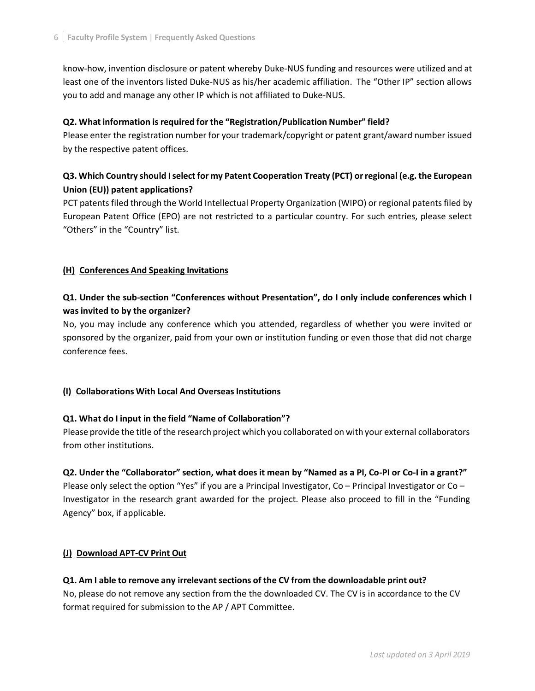know-how, invention disclosure or patent whereby Duke-NUS funding and resources were utilized and at least one of the inventors listed Duke-NUS as his/her academic affiliation. The "Other IP" section allows you to add and manage any other IP which is not affiliated to Duke-NUS.

# **Q2. What information isrequired for the "Registration/Publication Number" field?**

Please enter the registration number for your trademark/copyright or patent grant/award number issued by the respective patent offices.

# **Q3. Which Country should I select for my Patent Cooperation Treaty (PCT) orregional (e.g.the European Union (EU)) patent applications?**

PCT patents filed through the World Intellectual Property Organization (WIPO) or regional patents filed by European Patent Office (EPO) are not restricted to a particular country. For such entries, please select "Others" in the "Country" list.

# **(H) Conferences And Speaking Invitations**

# **Q1. Under the sub-section "Conferences without Presentation", do I only include conferences which I was invited to by the organizer?**

No, you may include any conference which you attended, regardless of whether you were invited or sponsored by the organizer, paid from your own or institution funding or even those that did not charge conference fees.

# **(I) Collaborations With Local And OverseasInstitutions**

### **Q1. What do I input in the field "Name of Collaboration"?**

Please provide the title ofthe research project which you collaborated on with your external collaborators from other institutions.

### **Q2. Under the "Collaborator" section, what does it mean by "Named as a PI, Co-PI or Co-I in a grant?"**

Please only select the option "Yes" if you are a Principal Investigator, Co – Principal Investigator or Co – Investigator in the research grant awarded for the project. Please also proceed to fill in the "Funding Agency" box, if applicable.

### **(J) Download APT-CV Print Out**

# **Q1. Am I able to remove any irrelevantsections of the CV from the downloadable print out?**

No, please do not remove any section from the the downloaded CV. The CV is in accordance to the CV format required for submission to the AP / APT Committee.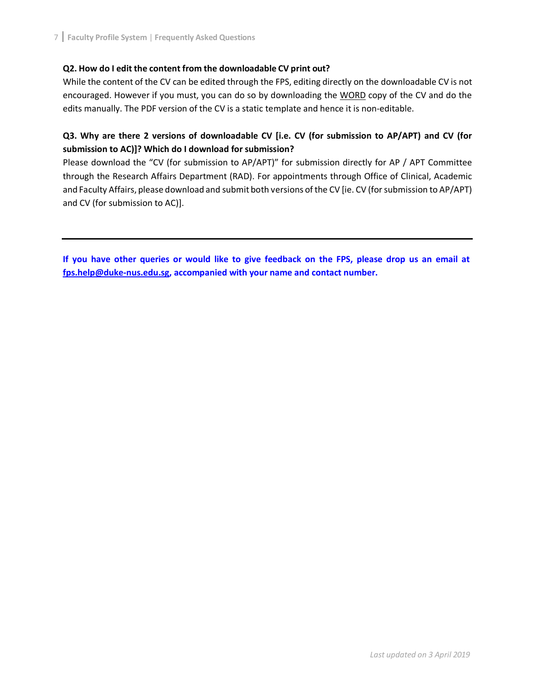# **Q2. How do I edit the content from the downloadable CV print out?**

While the content of the CV can be edited through the FPS, editing directly on the downloadable CV is not encouraged. However if you must, you can do so by downloading the WORD copy of the CV and do the edits manually. The PDF version of the CV is a static template and hence it is non-editable.

# **Q3. Why are there 2 versions of downloadable CV [i.e. CV (for submission to AP/APT) and CV (for submission to AC)]? Which do I download for submission?**

Please download the "CV (for submission to AP/APT)" for submission directly for AP / APT Committee through the Research Affairs Department (RAD). For appointments through Office of Clinical, Academic and Faculty Affairs, please download and submit both versions of the CV [ie. CV (for submission to AP/APT) and CV (for submission to AC)].

If you have other queries or would like to give feedback on the FPS, please drop us an email at **[fps.help@duke-nus.edu.sg, a](mailto:fps.help@duke-nus.edu.sg)ccompanied with your name and contact number.**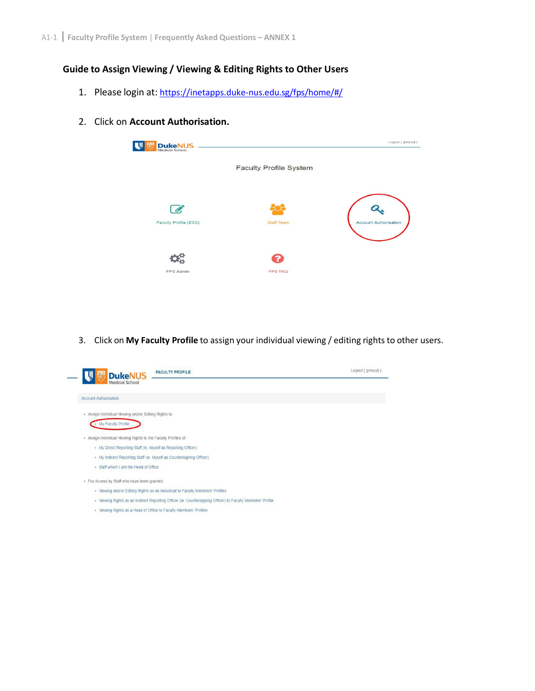# **Guide to Assign Viewing / Viewing & Editing Rights to Other Users**

- 1. Please login at: https://inetapps.duke-nus.edu.sg/fps/home/#/
- 2. Click on **Account Authorisation.**



3. Click on **My Faculty Profile** to assign your individual viewing / editing rights to other users.

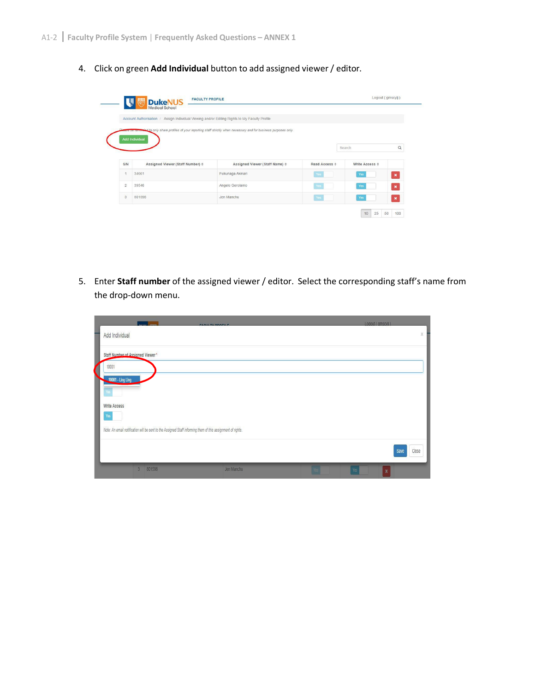4. Click on green **Add Individual** button to add assigned viewer / editor.

|                |                                            | Account Authorisation / Assign Individual Viewing and/or Editing Rights to My Faculty Profile                           |                      |                          |                |
|----------------|--------------------------------------------|-------------------------------------------------------------------------------------------------------------------------|----------------------|--------------------------|----------------|
|                |                                            | sase be reminded to only share profiles of your reporting staff strictly when necessary and for business purposes only. |                      |                          |                |
|                | Add Individual                             |                                                                                                                         |                      |                          |                |
|                |                                            |                                                                                                                         |                      | Search                   | $\alpha$       |
|                |                                            |                                                                                                                         |                      |                          |                |
|                |                                            |                                                                                                                         |                      |                          |                |
| S/N            | Assigned Viewer (Staff Number) $\doteqdot$ | Assigned Viewer (Staff Name) $\Leftrightarrow$                                                                          | Read Access $\doteq$ | Write Access $\doteqdot$ |                |
| $\overline{1}$ | 34661                                      | Fukunaga Akinari                                                                                                        | Yes                  | Yes                      | $\pmb{\times}$ |
| $\overline{2}$ | 39546                                      | Angelo Gerolamo                                                                                                         | Yes                  | Yes                      | $\pmb{\times}$ |

5. Enter **Staff number** of the assigned viewer / editor. Select the corresponding staff's name from the drop-down menu.

| Logout ( amscyli )<br><b>FAQUE TV DOOFILE</b>                                                               |    |  |
|-------------------------------------------------------------------------------------------------------------|----|--|
| Add Individual                                                                                              | X. |  |
| Staff Number of Assigned Viewer*                                                                            |    |  |
| 10001                                                                                                       |    |  |
| <b>10001 - Ling Ling</b>                                                                                    |    |  |
| Yes                                                                                                         |    |  |
| <b>Write Access</b>                                                                                         |    |  |
| Yes                                                                                                         |    |  |
| Note: An email notification will be sent to the Assigned Staff informing them of this assignment of rights. |    |  |
| Save<br>Close                                                                                               |    |  |
| 801598<br>$\overline{3}$<br>Jen Manchu<br>Yes<br>×                                                          |    |  |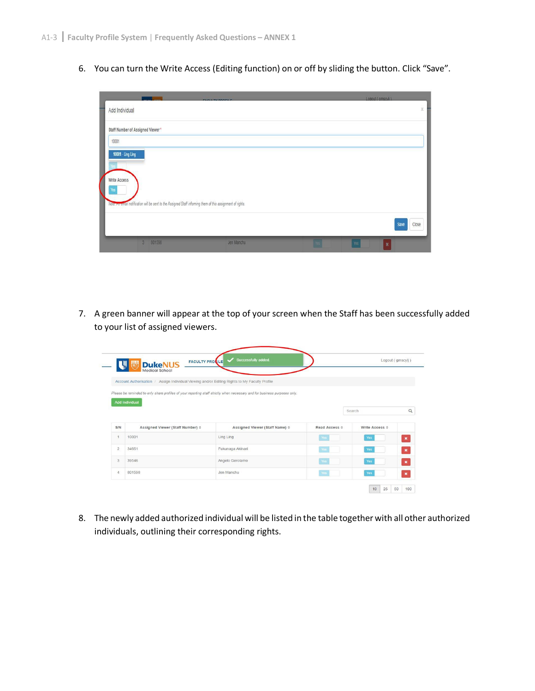6. You can turn the Write Access (Editing function) on or off by sliding the button. Click "Save".

|                                          |                          | <b>FAALL TV BBAFILE</b>                                                                                     |            | Logout ( amscyli )      |            |
|------------------------------------------|--------------------------|-------------------------------------------------------------------------------------------------------------|------------|-------------------------|------------|
| Add Individual                           |                          |                                                                                                             |            |                         | $\ddot{x}$ |
| Staff Number of Assigned Viewer*         |                          |                                                                                                             |            |                         |            |
| 10001                                    |                          |                                                                                                             |            |                         |            |
| 10001 - Ling Ling<br>Write Access<br>Yes |                          | Note, An email notification will be sent to the Assigned Staff informing them of this assignment of rights. |            |                         |            |
|                                          |                          |                                                                                                             |            | Save                    | Close      |
|                                          | 801598<br>$\overline{3}$ | Jen Manchu                                                                                                  | <b>Yes</b> | Yes<br>$\boldsymbol{x}$ |            |

7. A green banner will appear at the top of your screen when the Staff has been successfully added to your list of assigned viewers.

|                | <b>FACULTY PRONILE</b><br><b>DukeNUS</b><br>Medical School                                    | Successfully added.                                                                                                       |                               | Logout (gmscylj)      |                |
|----------------|-----------------------------------------------------------------------------------------------|---------------------------------------------------------------------------------------------------------------------------|-------------------------------|-----------------------|----------------|
|                | Account Authorisation / Assign Individual Viewing and/or Editing Rights to My Faculty Profile |                                                                                                                           |                               |                       |                |
|                |                                                                                               | Please be reminded to only share profiles of your reporting staff strictly when necessary and for business purposes only. |                               |                       |                |
|                | Add Individual                                                                                |                                                                                                                           |                               |                       |                |
|                |                                                                                               |                                                                                                                           |                               |                       |                |
|                |                                                                                               |                                                                                                                           |                               | Search                | $\alpha$       |
| S/N            | Assigned Viewer (Staff Number) $\Leftrightarrow$                                              | Assigned Viewer (Staff Name) $\Leftrightarrow$                                                                            | Read Access $\Leftrightarrow$ | Write Access $\doteq$ |                |
| $\overline{1}$ | 10001                                                                                         | Ling Ling                                                                                                                 | Yes                           | Yes                   | $\pmb{\times}$ |
| $\overline{2}$ | 34661                                                                                         | Fukunaga Akinari                                                                                                          | Yes                           | Yes                   | $\pmb{\times}$ |
| 3              | 39546                                                                                         | Angelo Gerolamo                                                                                                           | Yes                           | Yes                   | $\pmb{\times}$ |

8. The newly added authorized individual will be listed in the table together with all other authorized individuals, outlining their corresponding rights.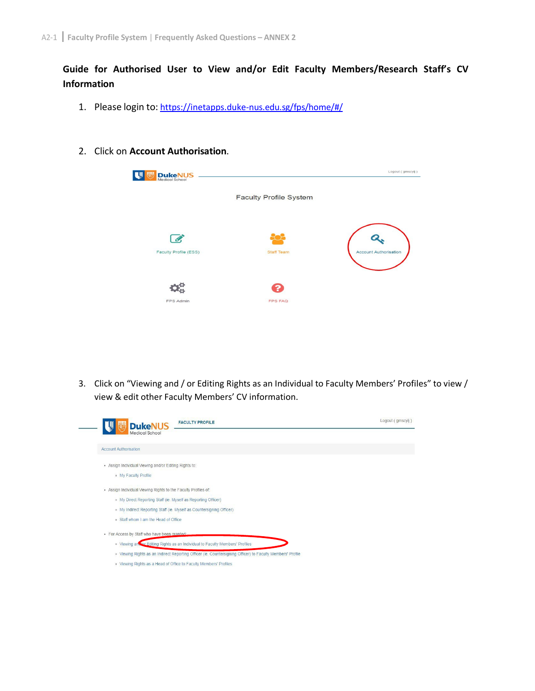# **Guide for Authorised User to View and/or Edit Faculty Members/Research Staff's CV Information**

- 1. Please login to: https://inetapps.duke-nus.edu.sg/fps/home/#/
- 2. Click on **Account Authorisation**.

| <b>DukeNUS</b><br>Medical School |                               | Logout (gmscylj)             |
|----------------------------------|-------------------------------|------------------------------|
|                                  | <b>Faculty Profile System</b> |                              |
| I<br>Faculty Profile (ESS)       | <b>Staff Team</b>             | <b>Account Authorisation</b> |
| FPS Admin                        | <b>FPS FAQ</b>                |                              |

3. Click on "Viewing and / or Editing Rights as an Individual to Faculty Members' Profiles" to view / view & edit other Faculty Members' CV information.